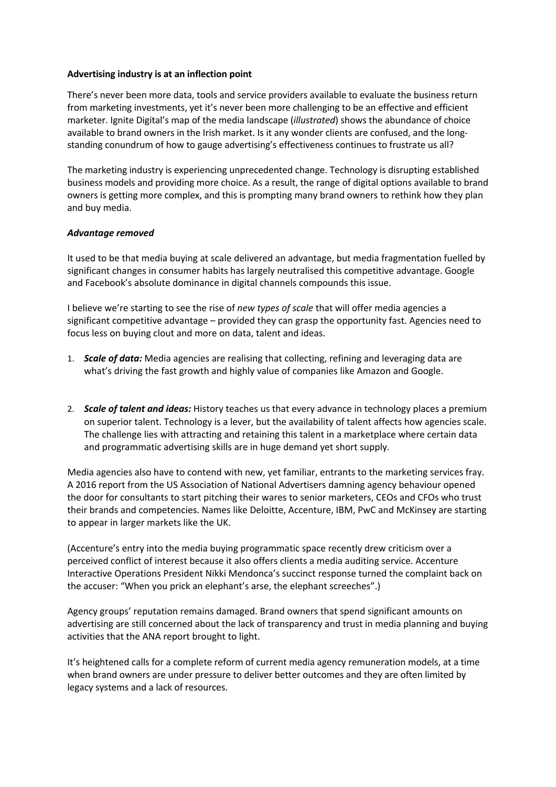## **Advertising industry is at an inflection point**

There's never been more data, tools and service providers available to evaluate the business return from marketing investments, yet it's never been more challenging to be an effective and efficient marketer. Ignite Digital's map of the media landscape (*illustrated*) shows the abundance of choice available to brand owners in the Irish market. Is it any wonder clients are confused, and the longstanding conundrum of how to gauge advertising's effectiveness continues to frustrate us all?

The marketing industry is experiencing unprecedented change. Technology is disrupting established business models and providing more choice. As a result, the range of digital options available to brand owners is getting more complex, and this is prompting many brand owners to rethink how they plan and buy media.

## *Advantage removed*

It used to be that media buying at scale delivered an advantage, but media fragmentation fuelled by significant changes in consumer habits has largely neutralised this competitive advantage. Google and Facebook's absolute dominance in digital channels compounds this issue.

I believe we're starting to see the rise of *new types of scale* that will offer media agencies a significant competitive advantage – provided they can grasp the opportunity fast. Agencies need to focus less on buying clout and more on data, talent and ideas.

- 1. *Scale of data:* Media agencies are realising that collecting, refining and leveraging data are what's driving the fast growth and highly value of companies like Amazon and Google.
- 2. *Scale of talent and ideas:* History teaches us that every advance in technology places a premium on superior talent. Technology is a lever, but the availability of talent affects how agencies scale. The challenge lies with attracting and retaining this talent in a marketplace where certain data and programmatic advertising skills are in huge demand yet short supply.

Media agencies also have to contend with new, yet familiar, entrants to the marketing services fray. A 2016 report from the US Association of National Advertisers damning agency behaviour opened the door for consultants to start pitching their wares to senior marketers, CEOs and CFOs who trust their brands and competencies. Names like Deloitte, Accenture, IBM, PwC and McKinsey are starting to appear in larger markets like the UK.

(Accenture's entry into the media buying programmatic space recently drew criticism over a perceived conflict of interest because it also offers clients a media auditing service. Accenture Interactive Operations President Nikki Mendonca's succinct response turned the complaint back on the accuser: "When you prick an elephant's arse, the elephant screeches".)

Agency groups' reputation remains damaged. Brand owners that spend significant amounts on advertising are still concerned about the lack of transparency and trust in media planning and buying activities that the ANA report brought to light.

It's heightened calls for a complete reform of current media agency remuneration models, at a time when brand owners are under pressure to deliver better outcomes and they are often limited by legacy systems and a lack of resources.